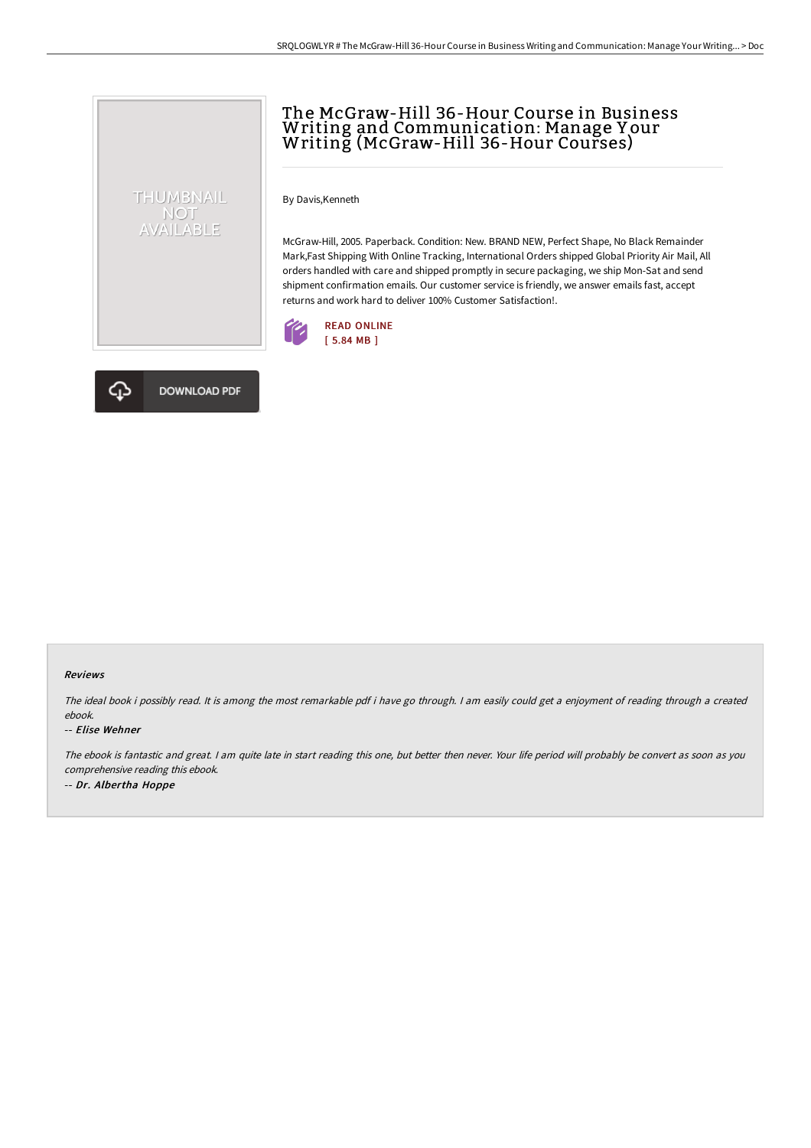# The McGraw-Hill 36-Hour Course in Business Writing and Communication: Manage Y our Writing (McGraw-Hill 36-Hour Courses)

By Davis,Kenneth

McGraw-Hill, 2005. Paperback. Condition: New. BRAND NEW, Perfect Shape, No Black Remainder Mark,Fast Shipping With Online Tracking, International Orders shipped Global Priority Air Mail, All orders handled with care and shipped promptly in secure packaging, we ship Mon-Sat and send shipment confirmation emails. Our customer service is friendly, we answer emails fast, accept returns and work hard to deliver 100% Customer Satisfaction!.





THUMBNAIL NOT<br>AVAILABLE

#### Reviews

The ideal book i possibly read. It is among the most remarkable pdf i have go through. <sup>I</sup> am easily could get <sup>a</sup> enjoyment of reading through <sup>a</sup> created ebook.

#### -- Elise Wehner

The ebook is fantastic and great. <sup>I</sup> am quite late in start reading this one, but better then never. Your life period will probably be convert as soon as you comprehensive reading this ebook. -- Dr. Albertha Hoppe